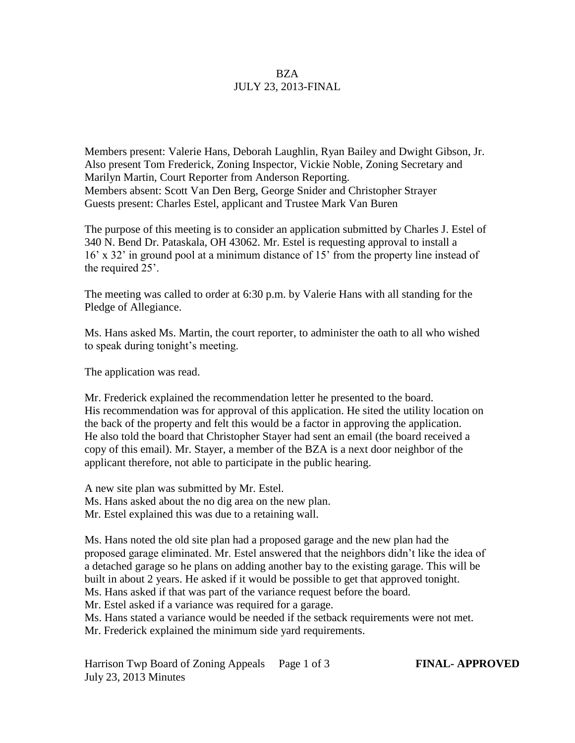## **BZA** JULY 23, 2013-FINAL

Members present: Valerie Hans, Deborah Laughlin, Ryan Bailey and Dwight Gibson, Jr. Also present Tom Frederick, Zoning Inspector, Vickie Noble, Zoning Secretary and Marilyn Martin, Court Reporter from Anderson Reporting. Members absent: Scott Van Den Berg, George Snider and Christopher Strayer Guests present: Charles Estel, applicant and Trustee Mark Van Buren

The purpose of this meeting is to consider an application submitted by Charles J. Estel of 340 N. Bend Dr. Pataskala, OH 43062. Mr. Estel is requesting approval to install a 16' x 32' in ground pool at a minimum distance of 15' from the property line instead of the required 25'.

The meeting was called to order at 6:30 p.m. by Valerie Hans with all standing for the Pledge of Allegiance.

Ms. Hans asked Ms. Martin, the court reporter, to administer the oath to all who wished to speak during tonight's meeting.

The application was read.

Mr. Frederick explained the recommendation letter he presented to the board. His recommendation was for approval of this application. He sited the utility location on the back of the property and felt this would be a factor in approving the application. He also told the board that Christopher Stayer had sent an email (the board received a copy of this email). Mr. Stayer, a member of the BZA is a next door neighbor of the applicant therefore, not able to participate in the public hearing.

A new site plan was submitted by Mr. Estel. Ms. Hans asked about the no dig area on the new plan. Mr. Estel explained this was due to a retaining wall.

Ms. Hans noted the old site plan had a proposed garage and the new plan had the proposed garage eliminated. Mr. Estel answered that the neighbors didn't like the idea of a detached garage so he plans on adding another bay to the existing garage. This will be built in about 2 years. He asked if it would be possible to get that approved tonight. Ms. Hans asked if that was part of the variance request before the board.

Mr. Estel asked if a variance was required for a garage.

Ms. Hans stated a variance would be needed if the setback requirements were not met.

Mr. Frederick explained the minimum side yard requirements.

Harrison Twp Board of Zoning Appeals Page 1 of 3 **FINAL- APPROVED** July 23, 2013 Minutes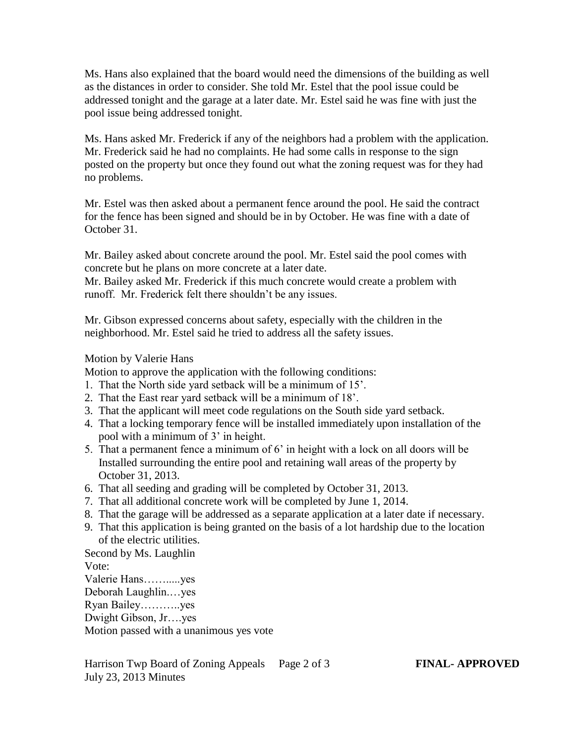Ms. Hans also explained that the board would need the dimensions of the building as well as the distances in order to consider. She told Mr. Estel that the pool issue could be addressed tonight and the garage at a later date. Mr. Estel said he was fine with just the pool issue being addressed tonight.

Ms. Hans asked Mr. Frederick if any of the neighbors had a problem with the application. Mr. Frederick said he had no complaints. He had some calls in response to the sign posted on the property but once they found out what the zoning request was for they had no problems.

Mr. Estel was then asked about a permanent fence around the pool. He said the contract for the fence has been signed and should be in by October. He was fine with a date of October 31.

Mr. Bailey asked about concrete around the pool. Mr. Estel said the pool comes with concrete but he plans on more concrete at a later date.

Mr. Bailey asked Mr. Frederick if this much concrete would create a problem with runoff. Mr. Frederick felt there shouldn't be any issues.

Mr. Gibson expressed concerns about safety, especially with the children in the neighborhood. Mr. Estel said he tried to address all the safety issues.

## Motion by Valerie Hans

Motion to approve the application with the following conditions:

- 1. That the North side yard setback will be a minimum of 15'.
- 2. That the East rear yard setback will be a minimum of 18'.
- 3. That the applicant will meet code regulations on the South side yard setback.
- 4. That a locking temporary fence will be installed immediately upon installation of the pool with a minimum of 3' in height.
- 5. That a permanent fence a minimum of 6' in height with a lock on all doors will be Installed surrounding the entire pool and retaining wall areas of the property by October 31, 2013.
- 6. That all seeding and grading will be completed by October 31, 2013.
- 7. That all additional concrete work will be completed by June 1, 2014.
- 8. That the garage will be addressed as a separate application at a later date if necessary.
- 9. That this application is being granted on the basis of a lot hardship due to the location of the electric utilities.

Second by Ms. Laughlin Vote: Valerie Hans…….....yes

Deborah Laughlin.…yes Ryan Bailey………..yes Dwight Gibson, Jr….yes

Motion passed with a unanimous yes vote

Harrison Twp Board of Zoning Appeals Page 2 of 3 **FINAL- APPROVED** July 23, 2013 Minutes